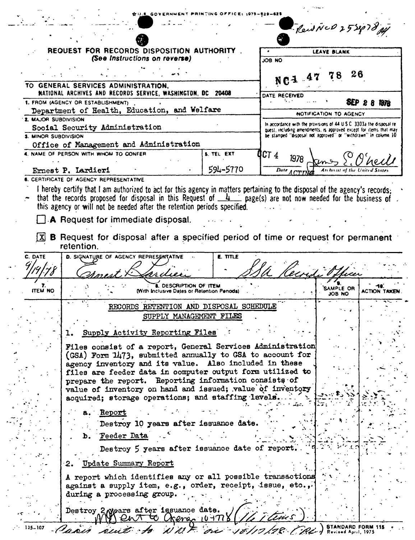|                                              |                                                                                                                                                                                                                                                                                                                                   |                                                                                  |                                                                                                                                      | ReidNUD 252978 Al   |                    |  |
|----------------------------------------------|-----------------------------------------------------------------------------------------------------------------------------------------------------------------------------------------------------------------------------------------------------------------------------------------------------------------------------------|----------------------------------------------------------------------------------|--------------------------------------------------------------------------------------------------------------------------------------|---------------------|--------------------|--|
|                                              | REQUEST FOR RECORDS DISPOSITION<br>(See instructions on reverse)                                                                                                                                                                                                                                                                  |                                                                                  | <b>LEAVE BLANK</b>                                                                                                                   |                     |                    |  |
|                                              |                                                                                                                                                                                                                                                                                                                                   |                                                                                  | JOB NO                                                                                                                               |                     |                    |  |
|                                              |                                                                                                                                                                                                                                                                                                                                   |                                                                                  |                                                                                                                                      |                     |                    |  |
|                                              |                                                                                                                                                                                                                                                                                                                                   |                                                                                  |                                                                                                                                      |                     | 26                 |  |
|                                              | TO GENERAL SERVICES ADMINISTRATION,<br>NATIONAL ARCHIVES AND RECORDS SERVICE, WASHINGTON, DC 20408                                                                                                                                                                                                                                |                                                                                  |                                                                                                                                      |                     |                    |  |
|                                              | 1. FROM (AGENCY OR ESTABLISHMENT)                                                                                                                                                                                                                                                                                                 |                                                                                  | DATE RECEIVED                                                                                                                        |                     | 8EP.<br>秘农         |  |
| Department of Health, Education, and Welfare |                                                                                                                                                                                                                                                                                                                                   |                                                                                  | NOTIFICATION TO AGENCY                                                                                                               |                     |                    |  |
| <b>2. MAJOR SUBDIVISION</b>                  |                                                                                                                                                                                                                                                                                                                                   |                                                                                  | In accordance with the provisions of 44 U.S.C. 3303a the disposal re-                                                                |                     |                    |  |
| Social Security Administration               |                                                                                                                                                                                                                                                                                                                                   |                                                                                  | quest, including amendments, is approved except for items that may<br>be stamped "disposal not approved" or "withdrawn" in column 10 |                     |                    |  |
| <b>3. MINOR SUBDIVISION</b>                  |                                                                                                                                                                                                                                                                                                                                   |                                                                                  |                                                                                                                                      |                     |                    |  |
|                                              | Office of Management and Administration<br>4. NAME OF PERSON WITH WHOM TO CONFER                                                                                                                                                                                                                                                  | <b>B. TEL EXT</b>                                                                |                                                                                                                                      |                     |                    |  |
|                                              |                                                                                                                                                                                                                                                                                                                                   |                                                                                  | OCT 4<br>1978                                                                                                                        |                     |                    |  |
|                                              | Ernest P. Lardieri                                                                                                                                                                                                                                                                                                                | 594-5770                                                                         | Date ACTIN                                                                                                                           |                     |                    |  |
|                                              | <b>6. CERTIFICATE OF AGENCY REPRESENTATIVE</b>                                                                                                                                                                                                                                                                                    |                                                                                  |                                                                                                                                      |                     |                    |  |
|                                              | I hereby certify that I am authorized to act for this agency in matters pertaining to the disposal of the agency's records:<br>that the records proposed for disposal in this Request of $\frac{1}{2}$ page(s) are not now needed for the business of<br>this agency or will not be needed after the retention periods specified. |                                                                                  |                                                                                                                                      |                     |                    |  |
|                                              | A Request for immediate disposal.                                                                                                                                                                                                                                                                                                 |                                                                                  |                                                                                                                                      |                     |                    |  |
|                                              |                                                                                                                                                                                                                                                                                                                                   | B Request for disposal after a specified period of time or request for permanent |                                                                                                                                      |                     |                    |  |
| C. DATE                                      | retention.<br>D. SIGNATURE OF AGENCY REPRESENTATIVE                                                                                                                                                                                                                                                                               | E. TITLE                                                                         |                                                                                                                                      |                     |                    |  |
| <b>ITEM NO</b>                               | <b>DESCRIPTION OF ITEM</b><br>(With Inclusive Dates or Retention Penods)                                                                                                                                                                                                                                                          |                                                                                  | Pecina                                                                                                                               | SAMPLE OR<br>ON 8OL | <b>ACTION TAXE</b> |  |
|                                              |                                                                                                                                                                                                                                                                                                                                   |                                                                                  |                                                                                                                                      |                     |                    |  |
|                                              | RECORDS RETENTION AND DISPOSAL SCHEDULE                                                                                                                                                                                                                                                                                           |                                                                                  |                                                                                                                                      |                     |                    |  |
|                                              | SUPPLY MANAGEMENT FILES                                                                                                                                                                                                                                                                                                           |                                                                                  |                                                                                                                                      |                     |                    |  |
|                                              | Supply Activity Reporting Files                                                                                                                                                                                                                                                                                                   |                                                                                  |                                                                                                                                      |                     |                    |  |
|                                              |                                                                                                                                                                                                                                                                                                                                   |                                                                                  |                                                                                                                                      |                     |                    |  |
|                                              | Files consist of a report, General Services Administration<br>(GSA) Form 1473, submitted annually to GSA to account for                                                                                                                                                                                                           |                                                                                  |                                                                                                                                      |                     |                    |  |
|                                              | agency inventory and its value. Also included in these                                                                                                                                                                                                                                                                            |                                                                                  |                                                                                                                                      |                     |                    |  |
|                                              | files are feeder data in computer output form utilized to                                                                                                                                                                                                                                                                         |                                                                                  |                                                                                                                                      |                     |                    |  |
|                                              | prepare the report. Reporting information consists of                                                                                                                                                                                                                                                                             |                                                                                  |                                                                                                                                      |                     |                    |  |
|                                              | value of inventory on hand and issued; value of inventory                                                                                                                                                                                                                                                                         |                                                                                  |                                                                                                                                      |                     |                    |  |
|                                              | acquired; storage operations; and staffing lavels.                                                                                                                                                                                                                                                                                |                                                                                  |                                                                                                                                      |                     |                    |  |
|                                              | Report                                                                                                                                                                                                                                                                                                                            |                                                                                  |                                                                                                                                      |                     |                    |  |
|                                              | Destroy 10 years after issuance date.                                                                                                                                                                                                                                                                                             |                                                                                  |                                                                                                                                      |                     |                    |  |
|                                              |                                                                                                                                                                                                                                                                                                                                   |                                                                                  |                                                                                                                                      |                     |                    |  |
|                                              | <b>b. Teeder Data</b>                                                                                                                                                                                                                                                                                                             |                                                                                  |                                                                                                                                      |                     |                    |  |
|                                              | Destroy 5 years after issuance date of report.<br>2. Update Summary Report                                                                                                                                                                                                                                                        |                                                                                  |                                                                                                                                      |                     |                    |  |
|                                              | A report which identifies any or all possible transactions<br>against a supply item, e.g., order, receipt, issue, etc.,<br>during a processing group.                                                                                                                                                                             |                                                                                  |                                                                                                                                      |                     |                    |  |

 $\ddot{\phantom{a}}$ 

٠,

 $\bullet$  .  $\bullet$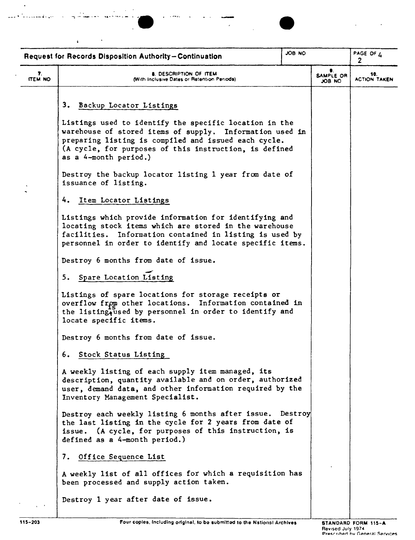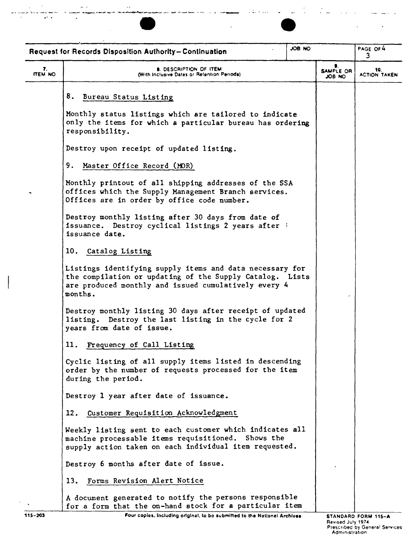

\_. ... !. • '" ~ ......\_.\_.\_ ...--\_.- \_\_...~ ~ .• - ,0 • .--- .".

 $\mathbb{R}^2$ 



**SAMPLE OR** JOB NO PAGE OF 4 Request for Records Disposition Authority - Continuation **r. 10. • 10. 10. 10. 10. 10.** *With Inclusive Dates or Retention Periods* **JOB NO ACTION TAKEN** 8. Bureau Status Listing Monthly status listings which are tailored to indicate only the items for which a particular bureau has ordering responsibility. Destroy upon receipt of updated listing. 9. Master Office Record (MOR) Monthly printout of all shipping addresses of the SSA offices which the Supply Management Branch services. Offices are in order by office code number. Destroy monthly listing after 30 days from date of **issuance. Destroy cyclical listings 2 years after i** issuance date. 10. Catalog Listing Listings identifying supply items and data necessary for the compilation or updating of the Supply Catalog. Lists are produced monthly and issued cumulatively every 4 months. Destroy monthly listing 30 days after receipt of updated listing. Destroy the last listing in the cycle for 2 years from date of issue. 11. Frequency of Call Listing Cyclic listing of all supply items listed in descending order by the number of requests processed for the item during the period. Destroy 1 year after date of issuance. 12. Customer Requisition Acknowledgment Weekly listing sent to each customer which indicates all machine processable items requisitioned. Shows the supply action taken on each individual item requested. Destroy 6 months after date of issue. 13. Forms Revision Alert Notice A document generated to notify the persons responsible for a form that the on-hand stock for a particular item

115-203 Four copies, including original, to be submitted to the National Archives STANDARD FORM 115-A